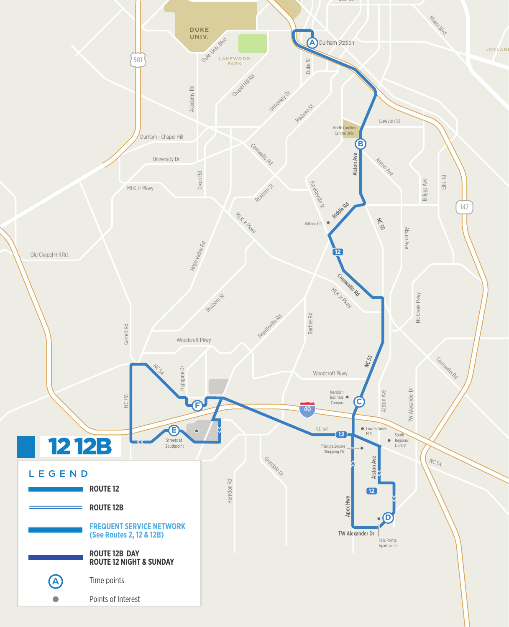